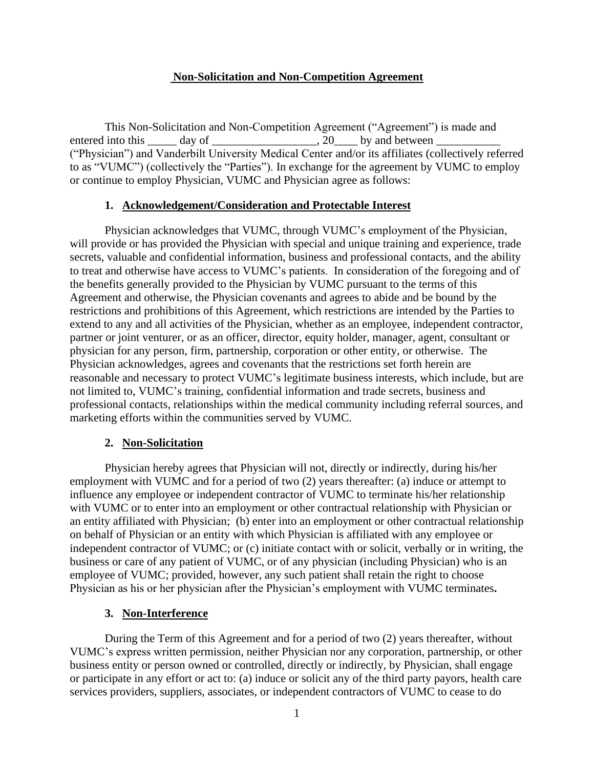#### **Non-Solicitation and Non-Competition Agreement**

This Non-Solicitation and Non-Competition Agreement ("Agreement") is made and entered into this day of the case of  $\alpha$ , 20 by and between ("Physician") and Vanderbilt University Medical Center and/or its affiliates (collectively referred to as "VUMC") (collectively the "Parties"). In exchange for the agreement by VUMC to employ or continue to employ Physician, VUMC and Physician agree as follows:

#### **1. Acknowledgement/Consideration and Protectable Interest**

Physician acknowledges that VUMC, through VUMC's employment of the Physician, will provide or has provided the Physician with special and unique training and experience, trade secrets, valuable and confidential information, business and professional contacts, and the ability to treat and otherwise have access to VUMC's patients. In consideration of the foregoing and of the benefits generally provided to the Physician by VUMC pursuant to the terms of this Agreement and otherwise, the Physician covenants and agrees to abide and be bound by the restrictions and prohibitions of this Agreement, which restrictions are intended by the Parties to extend to any and all activities of the Physician, whether as an employee, independent contractor, partner or joint venturer, or as an officer, director, equity holder, manager, agent, consultant or physician for any person, firm, partnership, corporation or other entity, or otherwise. The Physician acknowledges, agrees and covenants that the restrictions set forth herein are reasonable and necessary to protect VUMC's legitimate business interests, which include, but are not limited to, VUMC's training, confidential information and trade secrets, business and professional contacts, relationships within the medical community including referral sources, and marketing efforts within the communities served by VUMC.

#### **2. Non-Solicitation**

Physician hereby agrees that Physician will not, directly or indirectly, during his/her employment with VUMC and for a period of two (2) years thereafter: (a) induce or attempt to influence any employee or independent contractor of VUMC to terminate his/her relationship with VUMC or to enter into an employment or other contractual relationship with Physician or an entity affiliated with Physician; (b) enter into an employment or other contractual relationship on behalf of Physician or an entity with which Physician is affiliated with any employee or independent contractor of VUMC; or (c) initiate contact with or solicit, verbally or in writing, the business or care of any patient of VUMC, or of any physician (including Physician) who is an employee of VUMC; provided, however, any such patient shall retain the right to choose Physician as his or her physician after the Physician's employment with VUMC terminates**.** 

#### **3. Non-Interference**

During the Term of this Agreement and for a period of two (2) years thereafter, without VUMC's express written permission, neither Physician nor any corporation, partnership, or other business entity or person owned or controlled, directly or indirectly, by Physician, shall engage or participate in any effort or act to: (a) induce or solicit any of the third party payors, health care services providers, suppliers, associates, or independent contractors of VUMC to cease to do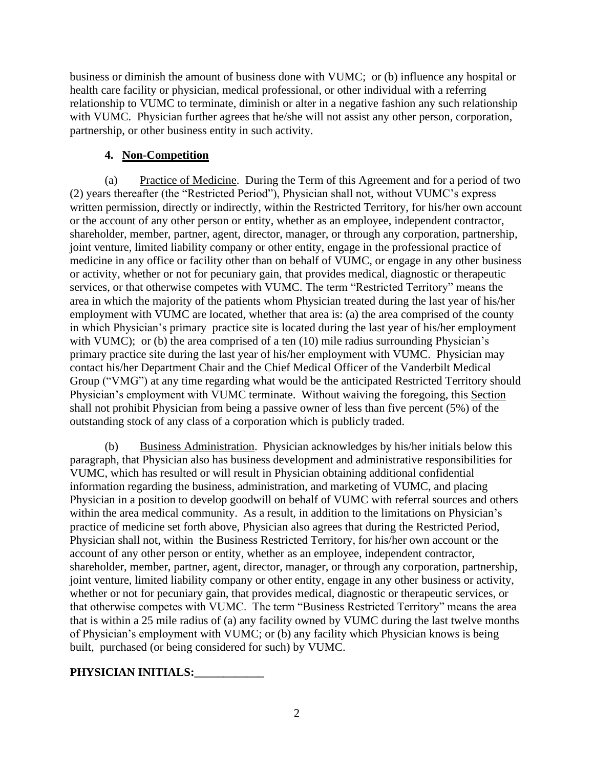business or diminish the amount of business done with VUMC; or (b) influence any hospital or health care facility or physician, medical professional, or other individual with a referring relationship to VUMC to terminate, diminish or alter in a negative fashion any such relationship with VUMC. Physician further agrees that he/she will not assist any other person, corporation, partnership, or other business entity in such activity.

## **4. Non-Competition**

(a) Practice of Medicine. During the Term of this Agreement and for a period of two (2) years thereafter (the "Restricted Period"), Physician shall not, without VUMC's express written permission, directly or indirectly, within the Restricted Territory, for his/her own account or the account of any other person or entity, whether as an employee, independent contractor, shareholder, member, partner, agent, director, manager, or through any corporation, partnership, joint venture, limited liability company or other entity, engage in the professional practice of medicine in any office or facility other than on behalf of VUMC, or engage in any other business or activity, whether or not for pecuniary gain, that provides medical, diagnostic or therapeutic services, or that otherwise competes with VUMC. The term "Restricted Territory" means the area in which the majority of the patients whom Physician treated during the last year of his/her employment with VUMC are located, whether that area is: (a) the area comprised of the county in which Physician's primary practice site is located during the last year of his/her employment with VUMC); or (b) the area comprised of a ten (10) mile radius surrounding Physician's primary practice site during the last year of his/her employment with VUMC. Physician may contact his/her Department Chair and the Chief Medical Officer of the Vanderbilt Medical Group ("VMG") at any time regarding what would be the anticipated Restricted Territory should Physician's employment with VUMC terminate. Without waiving the foregoing, this Section shall not prohibit Physician from being a passive owner of less than five percent (5%) of the outstanding stock of any class of a corporation which is publicly traded.

(b) Business Administration. Physician acknowledges by his/her initials below this paragraph, that Physician also has business development and administrative responsibilities for VUMC, which has resulted or will result in Physician obtaining additional confidential information regarding the business, administration, and marketing of VUMC, and placing Physician in a position to develop goodwill on behalf of VUMC with referral sources and others within the area medical community. As a result, in addition to the limitations on Physician's practice of medicine set forth above, Physician also agrees that during the Restricted Period, Physician shall not, within the Business Restricted Territory, for his/her own account or the account of any other person or entity, whether as an employee, independent contractor, shareholder, member, partner, agent, director, manager, or through any corporation, partnership, joint venture, limited liability company or other entity, engage in any other business or activity, whether or not for pecuniary gain, that provides medical, diagnostic or therapeutic services, or that otherwise competes with VUMC. The term "Business Restricted Territory" means the area that is within a 25 mile radius of (a) any facility owned by VUMC during the last twelve months of Physician's employment with VUMC; or (b) any facility which Physician knows is being built, purchased (or being considered for such) by VUMC.

# **PHYSICIAN INITIALS:\_\_\_\_\_\_\_\_\_\_\_\_**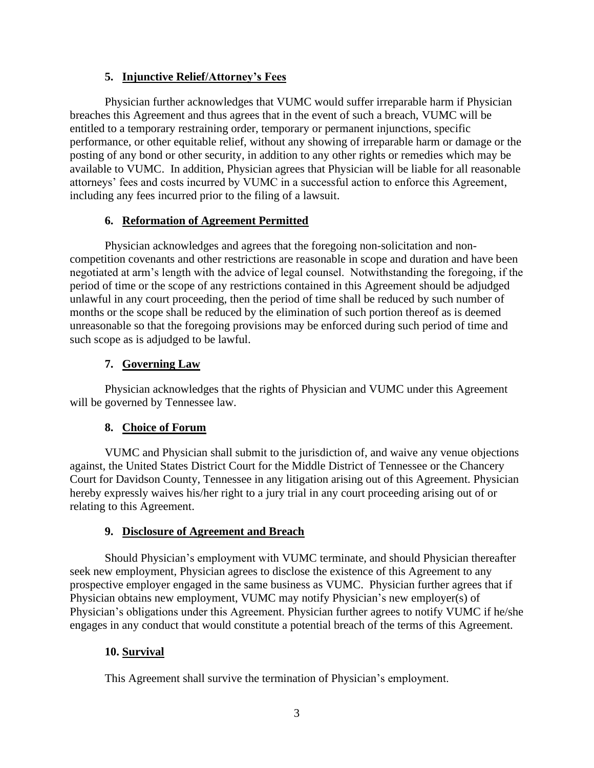### **5. Injunctive Relief/Attorney's Fees**

Physician further acknowledges that VUMC would suffer irreparable harm if Physician breaches this Agreement and thus agrees that in the event of such a breach, VUMC will be entitled to a temporary restraining order, temporary or permanent injunctions, specific performance, or other equitable relief, without any showing of irreparable harm or damage or the posting of any bond or other security, in addition to any other rights or remedies which may be available to VUMC. In addition, Physician agrees that Physician will be liable for all reasonable attorneys' fees and costs incurred by VUMC in a successful action to enforce this Agreement, including any fees incurred prior to the filing of a lawsuit.

### **6. Reformation of Agreement Permitted**

Physician acknowledges and agrees that the foregoing non-solicitation and noncompetition covenants and other restrictions are reasonable in scope and duration and have been negotiated at arm's length with the advice of legal counsel. Notwithstanding the foregoing, if the period of time or the scope of any restrictions contained in this Agreement should be adjudged unlawful in any court proceeding, then the period of time shall be reduced by such number of months or the scope shall be reduced by the elimination of such portion thereof as is deemed unreasonable so that the foregoing provisions may be enforced during such period of time and such scope as is adjudged to be lawful.

### **7. Governing Law**

Physician acknowledges that the rights of Physician and VUMC under this Agreement will be governed by Tennessee law.

### **8. Choice of Forum**

VUMC and Physician shall submit to the jurisdiction of, and waive any venue objections against, the United States District Court for the Middle District of Tennessee or the Chancery Court for Davidson County, Tennessee in any litigation arising out of this Agreement. Physician hereby expressly waives his/her right to a jury trial in any court proceeding arising out of or relating to this Agreement.

### **9. Disclosure of Agreement and Breach**

Should Physician's employment with VUMC terminate, and should Physician thereafter seek new employment, Physician agrees to disclose the existence of this Agreement to any prospective employer engaged in the same business as VUMC. Physician further agrees that if Physician obtains new employment, VUMC may notify Physician's new employer(s) of Physician's obligations under this Agreement. Physician further agrees to notify VUMC if he/she engages in any conduct that would constitute a potential breach of the terms of this Agreement.

### **10. Survival**

This Agreement shall survive the termination of Physician's employment.